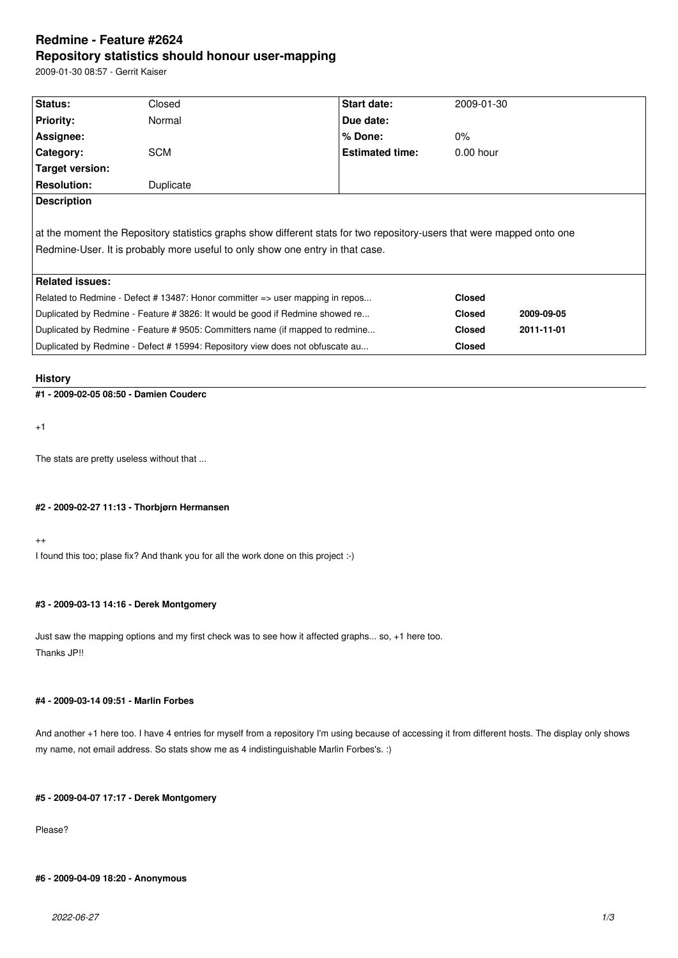# **Redmine - Feature #2624 Repository statistics should honour user-mapping**

2009-01-30 08:57 - Gerrit Kaiser

| Status:                                                                                                                | Closed     | <b>Start date:</b>     | 2009-01-30    |            |
|------------------------------------------------------------------------------------------------------------------------|------------|------------------------|---------------|------------|
| Priority:                                                                                                              | Normal     | Due date:              |               |            |
| Assignee:                                                                                                              |            | $%$ Done:              | $0\%$         |            |
| Category:                                                                                                              | <b>SCM</b> | <b>Estimated time:</b> | $0.00$ hour   |            |
| Target version:                                                                                                        |            |                        |               |            |
| <b>Resolution:</b>                                                                                                     | Duplicate  |                        |               |            |
| <b>Description</b>                                                                                                     |            |                        |               |            |
|                                                                                                                        |            |                        |               |            |
| at the moment the Repository statistics graphs show different stats for two repository-users that were mapped onto one |            |                        |               |            |
| Redmine-User. It is probably more useful to only show one entry in that case.                                          |            |                        |               |            |
|                                                                                                                        |            |                        |               |            |
| <b>Related issues:</b>                                                                                                 |            |                        |               |            |
| Related to Redmine - Defect # 13487: Honor committer => user mapping in repos                                          |            |                        | <b>Closed</b> |            |
| Duplicated by Redmine - Feature # 3826: It would be good if Redmine showed re                                          |            |                        | <b>Closed</b> | 2009-09-05 |
| Duplicated by Redmine - Feature # 9505: Committers name (if mapped to redmine                                          |            |                        | <b>Closed</b> | 2011-11-01 |
| Duplicated by Redmine - Defect # 15994: Repository view does not obfuscate au                                          |            |                        | <b>Closed</b> |            |
|                                                                                                                        |            |                        |               |            |

### **History**

**#1 - 2009-02-05 08:50 - Damien Couderc**

+1

The stats are pretty useless without that ...

**#2 - 2009-02-27 11:13 - Thorbjørn Hermansen**

++

I found this too; plase fix? And thank you for all the work done on this project :-)

### **#3 - 2009-03-13 14:16 - Derek Montgomery**

Just saw the mapping options and my first check was to see how it affected graphs... so, +1 here too. Thanks JP!!

#### **#4 - 2009-03-14 09:51 - Marlin Forbes**

And another +1 here too. I have 4 entries for myself from a repository I'm using because of accessing it from different hosts. The display only shows my name, not email address. So stats show me as 4 indistinguishable Marlin Forbes's. :)

### **#5 - 2009-04-07 17:17 - Derek Montgomery**

Please?

# **#6 - 2009-04-09 18:20 - Anonymous**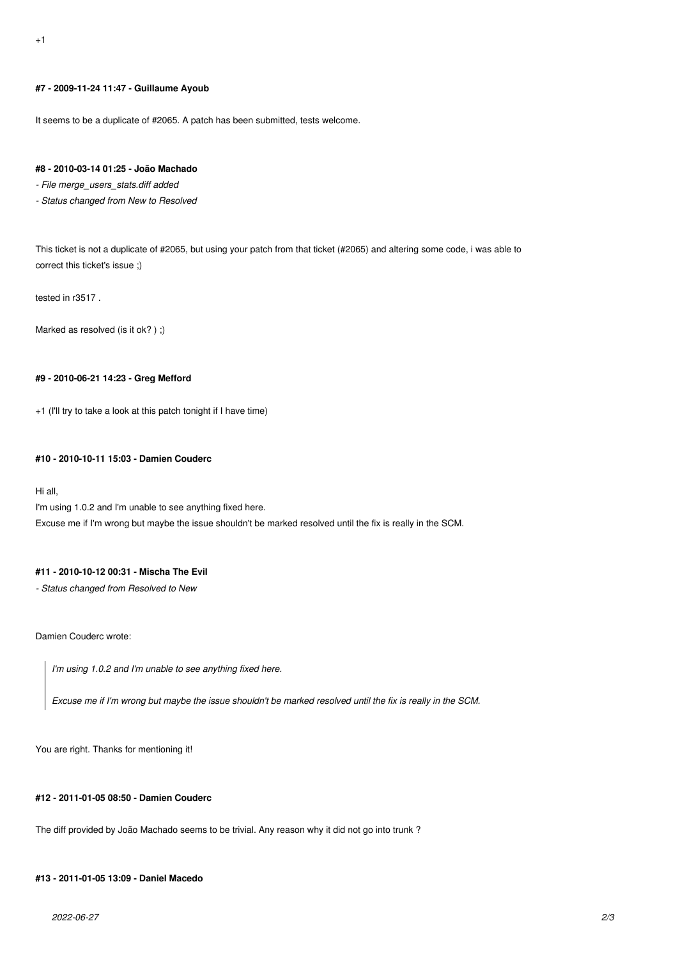### **#7 - 2009-11-24 11:47 - Guillaume Ayoub**

It seems to be a duplicate of #2065. A patch has been submitted, tests welcome.

#### **#8 - 2010-03-14 01:25 - João Machado**

*- File merge\_users\_stats.diff added*

*- Status changed from New to Resolved*

This ticket is not a duplicate of #2065, but using your patch from that ticket (#2065) and altering some code, i was able to correct this ticket's issue ;)

tested in r3517 .

Marked as resolved (is it ok? ) ;)

### **#9 - 2010-06-21 14:23 - Greg Mefford**

+1 (I'll try to take a look at this patch tonight if I have time)

#### **#10 - 2010-10-11 15:03 - Damien Couderc**

Hi all,

I'm using 1.0.2 and I'm unable to see anything fixed here. Excuse me if I'm wrong but maybe the issue shouldn't be marked resolved until the fix is really in the SCM.

### **#11 - 2010-10-12 00:31 - Mischa The Evil**

*- Status changed from Resolved to New*

Damien Couderc wrote:

*I'm using 1.0.2 and I'm unable to see anything fixed here.*

*Excuse me if I'm wrong but maybe the issue shouldn't be marked resolved until the fix is really in the SCM.*

You are right. Thanks for mentioning it!

#### **#12 - 2011-01-05 08:50 - Damien Couderc**

The diff provided by João Machado seems to be trivial. Any reason why it did not go into trunk ?

# **#13 - 2011-01-05 13:09 - Daniel Macedo**